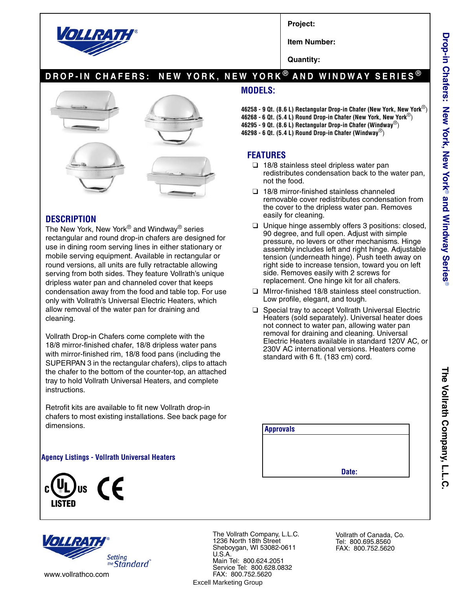

**Project:**

**Item Number:**

**Quantity:**

## **DROP-IN CHAFERS: NEW YORK, NEW YORK ® AND WINDWAY SERIES ®**



#### **DESCRIPTION**

The New York, New York<sup>®</sup> and Windway<sup>®</sup> series rectangular and round drop-in chafers are designed for use in dining room serving lines in either stationary or mobile serving equipment. Available in rectangular or round versions, all units are fully retractable allowing serving from both sides. They feature Vollrath's unique dripless water pan and channeled cover that keeps condensation away from the food and table top. For use only with Vollrath's Universal Electric Heaters, which allow removal of the water pan for draining and cleaning.

Vollrath Drop-in Chafers come complete with the 18/8 mirror-finished chafer, 18/8 dripless water pans with mirror-finished rim, 18/8 food pans (including the SUPERPAN 3 in the rectangular chafers), clips to attach the chafer to the bottom of the counter-top, an attached tray to hold Vollrath Universal Heaters, and complete instructions.

Retrofit kits are available to fit new Vollrath drop-in chafers to most existing installations. See back page for dimensions.

#### **Agency Listings - Vollrath Universal Heaters**

**Setting** the Standard



The Vollrath Company, L.L.C. 1236 North 18th Street Sheboygan, WI 53082-0611 U.S.A. Main Tel: 800.624.2051 Service Tel: 800.628.0832 FAX: 800.752.5620 Excell Marketing Group

Vollrath of Canada, Co. Tel: 800.695.8560 FAX: 800.752.5620

### **MODELS:**

- **46258 9 Qt. (8.6 L) Rectangular Drop-in Chafer (New York, New York**®)
- **46268 6 Qt. (5.4 L) Round Drop-in Chafer (New York, New York**®)
- **46295 9 Qt. (8.6 L) Rectangular Drop-in Chafer (Windway**®)
- **46298 6 Qt. (5.4 L) Round Drop-in Chafer (Windway**®)

### **FEATURES**

- ❑ 18/8 stainless steel dripless water pan redistributes condensation back to the water pan, not the food.
- ❑ 18/8 mirror-finished stainless channeled removable cover redistributes condensation from the cover to the dripless water pan. Removes easily for cleaning.
- ❑ Unique hinge assembly offers 3 positions: closed, 90 degree, and full open. Adjust with simple pressure, no levers or other mechanisms. Hinge assembly includes left and right hinge. Adjustable tension (underneath hinge). Push teeth away on right side to increase tension, toward you on left side. Removes easily with 2 screws for replacement. One hinge kit for all chafers.
- ❑ MIrror-finished 18/8 stainless steel construction. Low profile, elegant, and tough.
- ❑ Special tray to accept Vollrath Universal Electric Heaters (sold separately). Universal heater does not connect to water pan, allowing water pan removal for draining and cleaning. Universal Electric Heaters available in standard 120V AC, or 230V AC international versions. Heaters come standard with 6 ft. (183 cm) cord.

| <b>Approvals</b> |       |  |
|------------------|-------|--|
|                  |       |  |
|                  |       |  |
|                  | Date: |  |